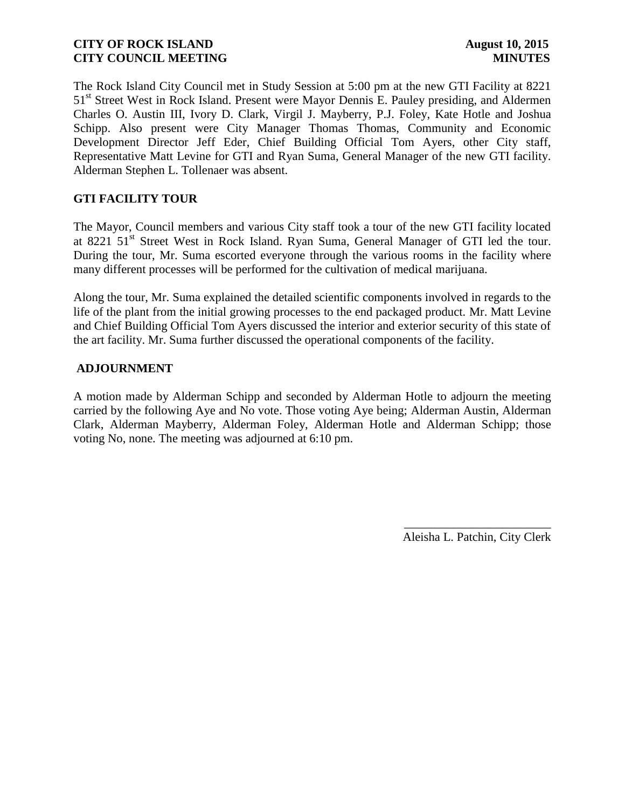The Rock Island City Council met in Study Session at 5:00 pm at the new GTI Facility at 8221 51<sup>st</sup> Street West in Rock Island. Present were Mayor Dennis E. Pauley presiding, and Aldermen Charles O. Austin III, Ivory D. Clark, Virgil J. Mayberry, P.J. Foley, Kate Hotle and Joshua Schipp. Also present were City Manager Thomas Thomas, Community and Economic Development Director Jeff Eder, Chief Building Official Tom Ayers, other City staff, Representative Matt Levine for GTI and Ryan Suma, General Manager of the new GTI facility. Alderman Stephen L. Tollenaer was absent.

# **GTI FACILITY TOUR**

The Mayor, Council members and various City staff took a tour of the new GTI facility located at 8221 51<sup>st</sup> Street West in Rock Island. Ryan Suma, General Manager of GTI led the tour. During the tour, Mr. Suma escorted everyone through the various rooms in the facility where many different processes will be performed for the cultivation of medical marijuana.

Along the tour, Mr. Suma explained the detailed scientific components involved in regards to the life of the plant from the initial growing processes to the end packaged product. Mr. Matt Levine and Chief Building Official Tom Ayers discussed the interior and exterior security of this state of the art facility. Mr. Suma further discussed the operational components of the facility.

### **ADJOURNMENT**

A motion made by Alderman Schipp and seconded by Alderman Hotle to adjourn the meeting carried by the following Aye and No vote. Those voting Aye being; Alderman Austin, Alderman Clark, Alderman Mayberry, Alderman Foley, Alderman Hotle and Alderman Schipp; those voting No, none. The meeting was adjourned at 6:10 pm.

> \_\_\_\_\_\_\_\_\_\_\_\_\_\_\_\_\_\_\_\_\_\_\_\_ Aleisha L. Patchin, City Clerk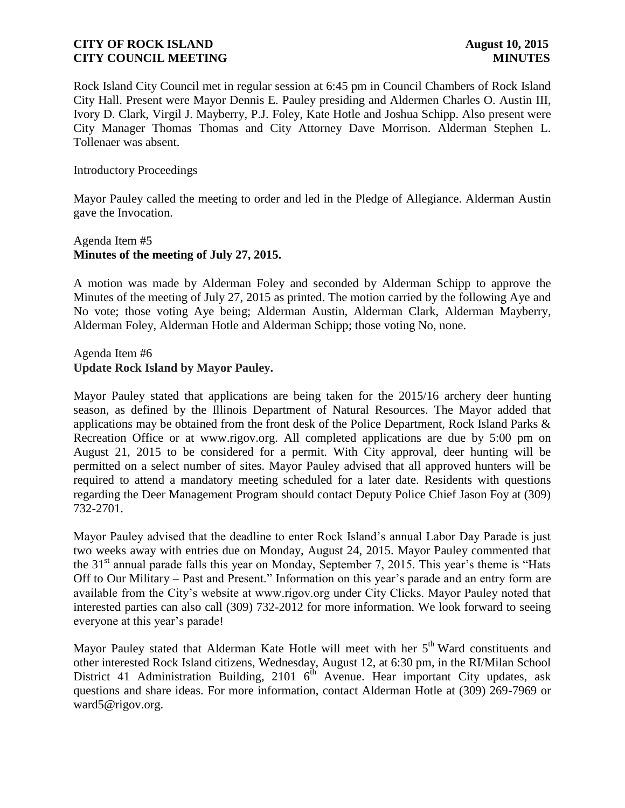Rock Island City Council met in regular session at 6:45 pm in Council Chambers of Rock Island City Hall. Present were Mayor Dennis E. Pauley presiding and Aldermen Charles O. Austin III, Ivory D. Clark, Virgil J. Mayberry, P.J. Foley, Kate Hotle and Joshua Schipp. Also present were City Manager Thomas Thomas and City Attorney Dave Morrison. Alderman Stephen L. Tollenaer was absent.

### Introductory Proceedings

Mayor Pauley called the meeting to order and led in the Pledge of Allegiance. Alderman Austin gave the Invocation.

## Agenda Item #5 **Minutes of the meeting of July 27, 2015.**

A motion was made by Alderman Foley and seconded by Alderman Schipp to approve the Minutes of the meeting of July 27, 2015 as printed. The motion carried by the following Aye and No vote; those voting Aye being; Alderman Austin, Alderman Clark, Alderman Mayberry, Alderman Foley, Alderman Hotle and Alderman Schipp; those voting No, none.

### Agenda Item #6 **Update Rock Island by Mayor Pauley.**

Mayor Pauley stated that applications are being taken for the 2015/16 archery deer hunting season, as defined by the Illinois Department of Natural Resources. The Mayor added that applications may be obtained from the front desk of the Police Department, Rock Island Parks & Recreation Office or at www.rigov.org. All completed applications are due by 5:00 pm on August 21, 2015 to be considered for a permit. With City approval, deer hunting will be permitted on a select number of sites. Mayor Pauley advised that all approved hunters will be required to attend a mandatory meeting scheduled for a later date. Residents with questions regarding the Deer Management Program should contact Deputy Police Chief Jason Foy at (309) 732-2701.

Mayor Pauley advised that the deadline to enter Rock Island's annual Labor Day Parade is just two weeks away with entries due on Monday, August 24, 2015. Mayor Pauley commented that the  $31<sup>st</sup>$  annual parade falls this year on Monday, September 7, 2015. This year's theme is "Hats" Off to Our Military – Past and Present." Information on this year's parade and an entry form are available from the City's website at www.rigov.org under City Clicks. Mayor Pauley noted that interested parties can also call (309) 732-2012 for more information. We look forward to seeing everyone at this year's parade!

Mayor Pauley stated that Alderman Kate Hotle will meet with her 5<sup>th</sup> Ward constituents and other interested Rock Island citizens, Wednesday, August 12, at 6:30 pm, in the RI/Milan School District 41 Administration Building, 2101  $6^{th}$  Avenue. Hear important City updates, ask questions and share ideas. For more information, contact Alderman Hotle at (309) 269-7969 or ward5@rigov.org.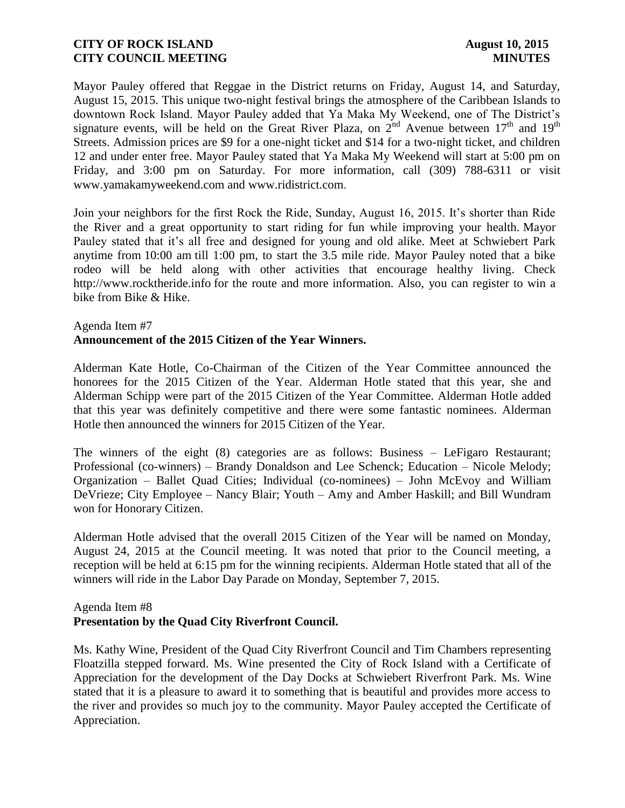Mayor Pauley offered that Reggae in the District returns on Friday, August 14, and Saturday, August 15, 2015. This unique two-night festival brings the atmosphere of the Caribbean Islands to downtown Rock Island. Mayor Pauley added that Ya Maka My Weekend, one of The District's signature events, will be held on the Great River Plaza, on  $2^{nd}$  Avenue between  $17<sup>th</sup>$  and  $19<sup>th</sup>$ Streets. Admission prices are \$9 for a one-night ticket and \$14 for a two-night ticket, and children 12 and under enter free. Mayor Pauley stated that Ya Maka My Weekend will start at 5:00 pm on Friday, and 3:00 pm on Saturday. For more information, call (309) 788-6311 or visit www.yamakamyweekend.com and www.ridistrict.com.

Join your neighbors for the first Rock the Ride, Sunday, August 16, 2015. It's shorter than Ride the River and a great opportunity to start riding for fun while improving your health. Mayor Pauley stated that it's all free and designed for young and old alike. Meet at Schwiebert Park anytime from 10:00 am till 1:00 pm, to start the 3.5 mile ride. Mayor Pauley noted that a bike rodeo will be held along with other activities that encourage healthy living. Check http://www.rocktheride.info for the route and more information. Also, you can register to win a bike from Bike & Hike.

### Agenda Item #7 **Announcement of the 2015 Citizen of the Year Winners.**

Alderman Kate Hotle, Co-Chairman of the Citizen of the Year Committee announced the honorees for the 2015 Citizen of the Year. Alderman Hotle stated that this year, she and Alderman Schipp were part of the 2015 Citizen of the Year Committee. Alderman Hotle added that this year was definitely competitive and there were some fantastic nominees. Alderman Hotle then announced the winners for 2015 Citizen of the Year.

The winners of the eight (8) categories are as follows: Business – LeFigaro Restaurant; Professional (co-winners) – Brandy Donaldson and Lee Schenck; Education – Nicole Melody; Organization – Ballet Quad Cities; Individual (co-nominees) – John McEvoy and William DeVrieze; City Employee – Nancy Blair; Youth – Amy and Amber Haskill; and Bill Wundram won for Honorary Citizen.

Alderman Hotle advised that the overall 2015 Citizen of the Year will be named on Monday, August 24, 2015 at the Council meeting. It was noted that prior to the Council meeting, a reception will be held at 6:15 pm for the winning recipients. Alderman Hotle stated that all of the winners will ride in the Labor Day Parade on Monday, September 7, 2015.

### Agenda Item #8

# **Presentation by the Quad City Riverfront Council.**

Ms. Kathy Wine, President of the Quad City Riverfront Council and Tim Chambers representing Floatzilla stepped forward. Ms. Wine presented the City of Rock Island with a Certificate of Appreciation for the development of the Day Docks at Schwiebert Riverfront Park. Ms. Wine stated that it is a pleasure to award it to something that is beautiful and provides more access to the river and provides so much joy to the community. Mayor Pauley accepted the Certificate of Appreciation.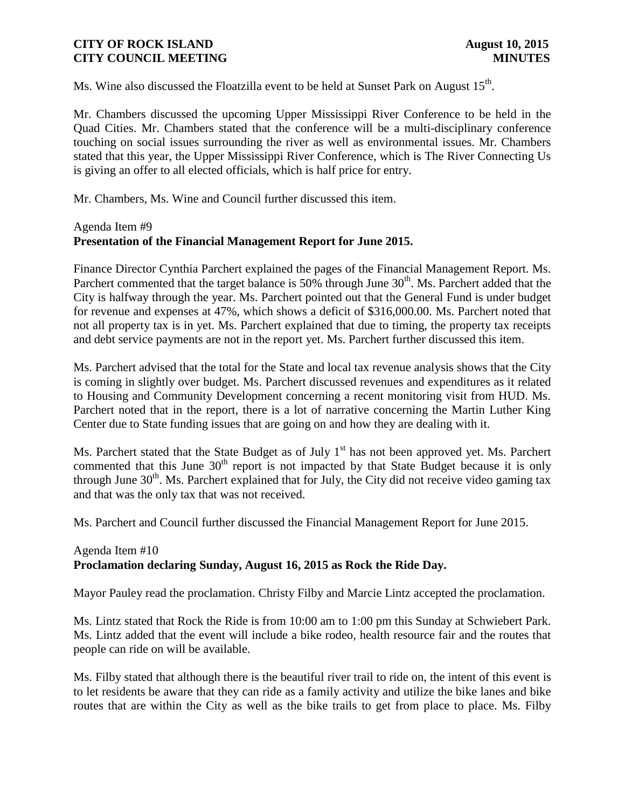Ms. Wine also discussed the Floatzilla event to be held at Sunset Park on August  $15^{th}$ .

Mr. Chambers discussed the upcoming Upper Mississippi River Conference to be held in the Quad Cities. Mr. Chambers stated that the conference will be a multi-disciplinary conference touching on social issues surrounding the river as well as environmental issues. Mr. Chambers stated that this year, the Upper Mississippi River Conference, which is The River Connecting Us is giving an offer to all elected officials, which is half price for entry.

Mr. Chambers, Ms. Wine and Council further discussed this item.

# Agenda Item #9 **Presentation of the Financial Management Report for June 2015.**

Finance Director Cynthia Parchert explained the pages of the Financial Management Report. Ms. Parchert commented that the target balance is 50% through June 30<sup>th</sup>. Ms. Parchert added that the City is halfway through the year. Ms. Parchert pointed out that the General Fund is under budget for revenue and expenses at 47%, which shows a deficit of \$316,000.00. Ms. Parchert noted that not all property tax is in yet. Ms. Parchert explained that due to timing, the property tax receipts and debt service payments are not in the report yet. Ms. Parchert further discussed this item.

Ms. Parchert advised that the total for the State and local tax revenue analysis shows that the City is coming in slightly over budget. Ms. Parchert discussed revenues and expenditures as it related to Housing and Community Development concerning a recent monitoring visit from HUD. Ms. Parchert noted that in the report, there is a lot of narrative concerning the Martin Luther King Center due to State funding issues that are going on and how they are dealing with it.

Ms. Parchert stated that the State Budget as of July 1<sup>st</sup> has not been approved yet. Ms. Parchert commented that this June  $30<sup>th</sup>$  report is not impacted by that State Budget because it is only through June  $30<sup>th</sup>$ . Ms. Parchert explained that for July, the City did not receive video gaming tax and that was the only tax that was not received.

Ms. Parchert and Council further discussed the Financial Management Report for June 2015.

# Agenda Item #10 **Proclamation declaring Sunday, August 16, 2015 as Rock the Ride Day.**

Mayor Pauley read the proclamation. Christy Filby and Marcie Lintz accepted the proclamation.

Ms. Lintz stated that Rock the Ride is from 10:00 am to 1:00 pm this Sunday at Schwiebert Park. Ms. Lintz added that the event will include a bike rodeo, health resource fair and the routes that people can ride on will be available.

Ms. Filby stated that although there is the beautiful river trail to ride on, the intent of this event is to let residents be aware that they can ride as a family activity and utilize the bike lanes and bike routes that are within the City as well as the bike trails to get from place to place. Ms. Filby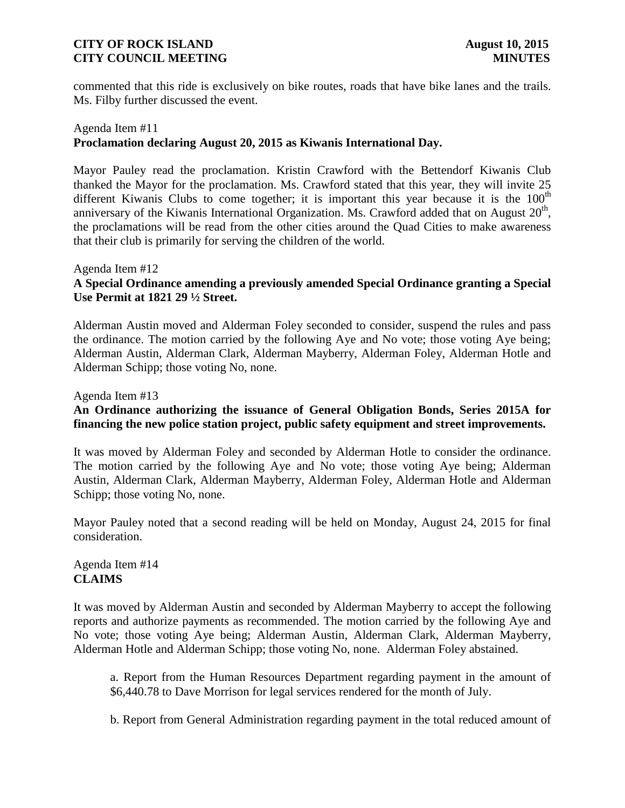commented that this ride is exclusively on bike routes, roads that have bike lanes and the trails. Ms. Filby further discussed the event.

## Agenda Item #11 **Proclamation declaring August 20, 2015 as Kiwanis International Day.**

Mayor Pauley read the proclamation. Kristin Crawford with the Bettendorf Kiwanis Club thanked the Mayor for the proclamation. Ms. Crawford stated that this year, they will invite 25 different Kiwanis Clubs to come together; it is important this year because it is the  $100<sup>th</sup>$ anniversary of the Kiwanis International Organization. Ms. Crawford added that on August  $20<sup>th</sup>$ , the proclamations will be read from the other cities around the Quad Cities to make awareness that their club is primarily for serving the children of the world.

### Agenda Item #12 **A Special Ordinance amending a previously amended Special Ordinance granting a Special Use Permit at 1821 29 ½ Street.**

Alderman Austin moved and Alderman Foley seconded to consider, suspend the rules and pass the ordinance. The motion carried by the following Aye and No vote; those voting Aye being; Alderman Austin, Alderman Clark, Alderman Mayberry, Alderman Foley, Alderman Hotle and Alderman Schipp; those voting No, none.

# Agenda Item #13

# **An Ordinance authorizing the issuance of General Obligation Bonds, Series 2015A for financing the new police station project, public safety equipment and street improvements.**

It was moved by Alderman Foley and seconded by Alderman Hotle to consider the ordinance. The motion carried by the following Aye and No vote; those voting Aye being; Alderman Austin, Alderman Clark, Alderman Mayberry, Alderman Foley, Alderman Hotle and Alderman Schipp; those voting No, none.

Mayor Pauley noted that a second reading will be held on Monday, August 24, 2015 for final consideration.

# Agenda Item #14 **CLAIMS**

It was moved by Alderman Austin and seconded by Alderman Mayberry to accept the following reports and authorize payments as recommended. The motion carried by the following Aye and No vote; those voting Aye being; Alderman Austin, Alderman Clark, Alderman Mayberry, Alderman Hotle and Alderman Schipp; those voting No, none. Alderman Foley abstained.

a. Report from the Human Resources Department regarding payment in the amount of \$6,440.78 to Dave Morrison for legal services rendered for the month of July.

b. Report from General Administration regarding payment in the total reduced amount of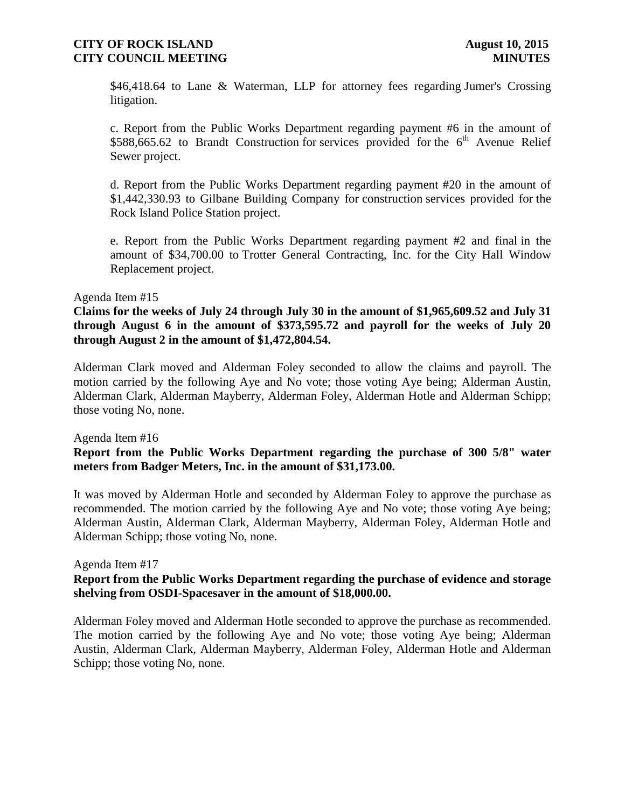\$46,418.64 to Lane & Waterman, LLP for attorney fees regarding Jumer's Crossing litigation.

c. Report from the Public Works Department regarding payment #6 in the amount of  $$588,665.62$  to Brandt Construction for services provided for the  $6<sup>th</sup>$  Avenue Relief Sewer project.

d. Report from the Public Works Department regarding payment #20 in the amount of \$1,442,330.93 to Gilbane Building Company for construction services provided for the Rock Island Police Station project.

e. Report from the Public Works Department regarding payment #2 and final in the amount of \$34,700.00 to Trotter General Contracting, Inc. for the City Hall Window Replacement project.

### Agenda Item #15

**Claims for the weeks of July 24 through July 30 in the amount of \$1,965,609.52 and July 31 through August 6 in the amount of \$373,595.72 and payroll for the weeks of July 20 through August 2 in the amount of \$1,472,804.54.** 

Alderman Clark moved and Alderman Foley seconded to allow the claims and payroll. The motion carried by the following Aye and No vote; those voting Aye being; Alderman Austin, Alderman Clark, Alderman Mayberry, Alderman Foley, Alderman Hotle and Alderman Schipp; those voting No, none.

### Agenda Item #16

# **Report from the Public Works Department regarding the purchase of 300 5/8" water meters from Badger Meters, Inc. in the amount of \$31,173.00.**

It was moved by Alderman Hotle and seconded by Alderman Foley to approve the purchase as recommended. The motion carried by the following Aye and No vote; those voting Aye being; Alderman Austin, Alderman Clark, Alderman Mayberry, Alderman Foley, Alderman Hotle and Alderman Schipp; those voting No, none.

### Agenda Item #17

## **Report from the Public Works Department regarding the purchase of evidence and storage shelving from OSDI-Spacesaver in the amount of \$18,000.00.**

Alderman Foley moved and Alderman Hotle seconded to approve the purchase as recommended. The motion carried by the following Aye and No vote; those voting Aye being; Alderman Austin, Alderman Clark, Alderman Mayberry, Alderman Foley, Alderman Hotle and Alderman Schipp; those voting No, none.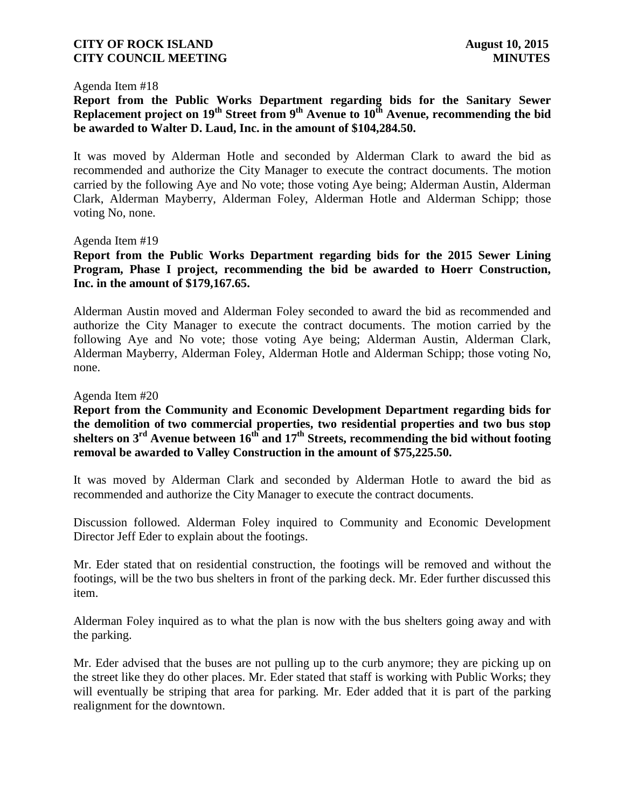### Agenda Item #18

**Report from the Public Works Department regarding bids for the Sanitary Sewer Replacement project on 19th Street from 9th Avenue to 10th Avenue, recommending the bid be awarded to Walter D. Laud, Inc. in the amount of \$104,284.50.**

It was moved by Alderman Hotle and seconded by Alderman Clark to award the bid as recommended and authorize the City Manager to execute the contract documents. The motion carried by the following Aye and No vote; those voting Aye being; Alderman Austin, Alderman Clark, Alderman Mayberry, Alderman Foley, Alderman Hotle and Alderman Schipp; those voting No, none.

### Agenda Item #19

**Report from the Public Works Department regarding bids for the 2015 Sewer Lining Program, Phase I project, recommending the bid be awarded to Hoerr Construction, Inc. in the amount of \$179,167.65.**

Alderman Austin moved and Alderman Foley seconded to award the bid as recommended and authorize the City Manager to execute the contract documents. The motion carried by the following Aye and No vote; those voting Aye being; Alderman Austin, Alderman Clark, Alderman Mayberry, Alderman Foley, Alderman Hotle and Alderman Schipp; those voting No, none.

### Agenda Item #20

**Report from the Community and Economic Development Department regarding bids for the demolition of two commercial properties, two residential properties and two bus stop shelters on 3rd Avenue between 16th and 17 th Streets, recommending the bid without footing removal be awarded to Valley Construction in the amount of \$75,225.50.**

It was moved by Alderman Clark and seconded by Alderman Hotle to award the bid as recommended and authorize the City Manager to execute the contract documents.

Discussion followed. Alderman Foley inquired to Community and Economic Development Director Jeff Eder to explain about the footings.

Mr. Eder stated that on residential construction, the footings will be removed and without the footings, will be the two bus shelters in front of the parking deck. Mr. Eder further discussed this item.

Alderman Foley inquired as to what the plan is now with the bus shelters going away and with the parking.

Mr. Eder advised that the buses are not pulling up to the curb anymore; they are picking up on the street like they do other places. Mr. Eder stated that staff is working with Public Works; they will eventually be striping that area for parking. Mr. Eder added that it is part of the parking realignment for the downtown.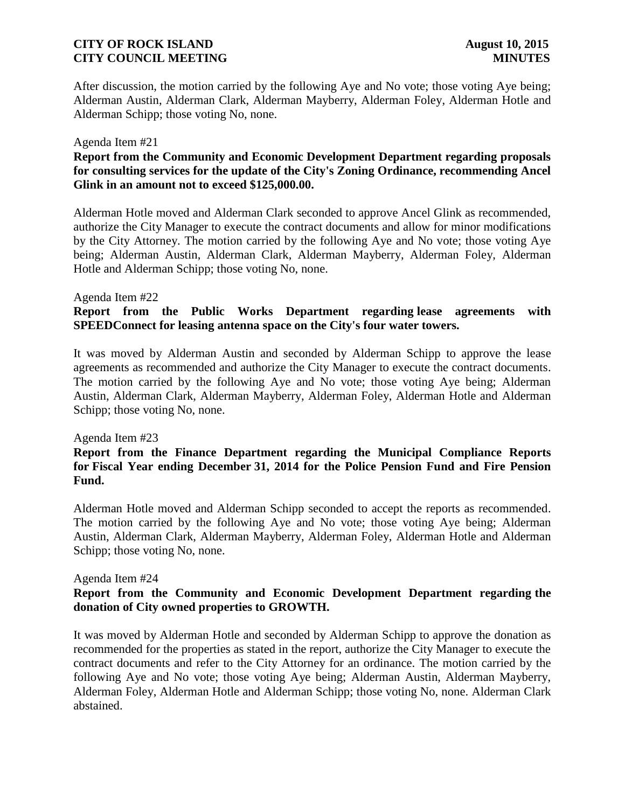After discussion, the motion carried by the following Aye and No vote; those voting Aye being; Alderman Austin, Alderman Clark, Alderman Mayberry, Alderman Foley, Alderman Hotle and Alderman Schipp; those voting No, none.

### Agenda Item #21

# **Report from the Community and Economic Development Department regarding proposals for consulting services for the update of the City's Zoning Ordinance, recommending Ancel Glink in an amount not to exceed \$125,000.00.**

Alderman Hotle moved and Alderman Clark seconded to approve Ancel Glink as recommended, authorize the City Manager to execute the contract documents and allow for minor modifications by the City Attorney. The motion carried by the following Aye and No vote; those voting Aye being; Alderman Austin, Alderman Clark, Alderman Mayberry, Alderman Foley, Alderman Hotle and Alderman Schipp; those voting No, none.

### Agenda Item #22

# **Report from the Public Works Department regarding lease agreements with SPEEDConnect for leasing antenna space on the City's four water towers.**

It was moved by Alderman Austin and seconded by Alderman Schipp to approve the lease agreements as recommended and authorize the City Manager to execute the contract documents. The motion carried by the following Aye and No vote; those voting Aye being; Alderman Austin, Alderman Clark, Alderman Mayberry, Alderman Foley, Alderman Hotle and Alderman Schipp; those voting No, none.

### Agenda Item #23

## **Report from the Finance Department regarding the Municipal Compliance Reports for Fiscal Year ending December 31, 2014 for the Police Pension Fund and Fire Pension Fund.**

Alderman Hotle moved and Alderman Schipp seconded to accept the reports as recommended. The motion carried by the following Aye and No vote; those voting Aye being; Alderman Austin, Alderman Clark, Alderman Mayberry, Alderman Foley, Alderman Hotle and Alderman Schipp; those voting No, none.

### Agenda Item #24

# **Report from the Community and Economic Development Department regarding the donation of City owned properties to GROWTH.**

It was moved by Alderman Hotle and seconded by Alderman Schipp to approve the donation as recommended for the properties as stated in the report, authorize the City Manager to execute the contract documents and refer to the City Attorney for an ordinance. The motion carried by the following Aye and No vote; those voting Aye being; Alderman Austin, Alderman Mayberry, Alderman Foley, Alderman Hotle and Alderman Schipp; those voting No, none. Alderman Clark abstained.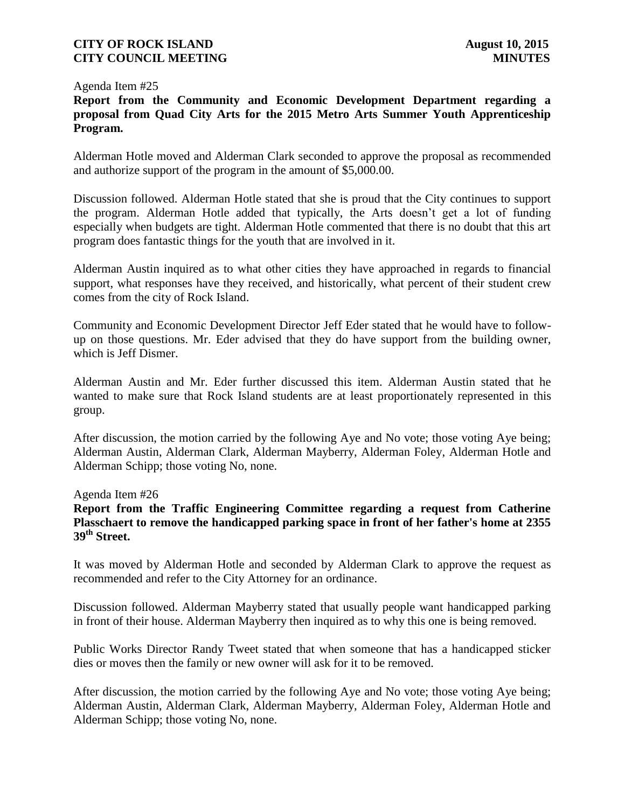### Agenda Item #25

**Report from the Community and Economic Development Department regarding a proposal from Quad City Arts for the 2015 Metro Arts Summer Youth Apprenticeship Program.**

Alderman Hotle moved and Alderman Clark seconded to approve the proposal as recommended and authorize support of the program in the amount of \$5,000.00.

Discussion followed. Alderman Hotle stated that she is proud that the City continues to support the program. Alderman Hotle added that typically, the Arts doesn't get a lot of funding especially when budgets are tight. Alderman Hotle commented that there is no doubt that this art program does fantastic things for the youth that are involved in it.

Alderman Austin inquired as to what other cities they have approached in regards to financial support, what responses have they received, and historically, what percent of their student crew comes from the city of Rock Island.

Community and Economic Development Director Jeff Eder stated that he would have to followup on those questions. Mr. Eder advised that they do have support from the building owner, which is Jeff Dismer.

Alderman Austin and Mr. Eder further discussed this item. Alderman Austin stated that he wanted to make sure that Rock Island students are at least proportionately represented in this group.

After discussion, the motion carried by the following Aye and No vote; those voting Aye being; Alderman Austin, Alderman Clark, Alderman Mayberry, Alderman Foley, Alderman Hotle and Alderman Schipp; those voting No, none.

Agenda Item #26

**Report from the Traffic Engineering Committee regarding a request from Catherine Plasschaert to remove the handicapped parking space in front of her father's home at 2355 39th Street.**

It was moved by Alderman Hotle and seconded by Alderman Clark to approve the request as recommended and refer to the City Attorney for an ordinance.

Discussion followed. Alderman Mayberry stated that usually people want handicapped parking in front of their house. Alderman Mayberry then inquired as to why this one is being removed.

Public Works Director Randy Tweet stated that when someone that has a handicapped sticker dies or moves then the family or new owner will ask for it to be removed.

After discussion, the motion carried by the following Aye and No vote; those voting Aye being; Alderman Austin, Alderman Clark, Alderman Mayberry, Alderman Foley, Alderman Hotle and Alderman Schipp; those voting No, none.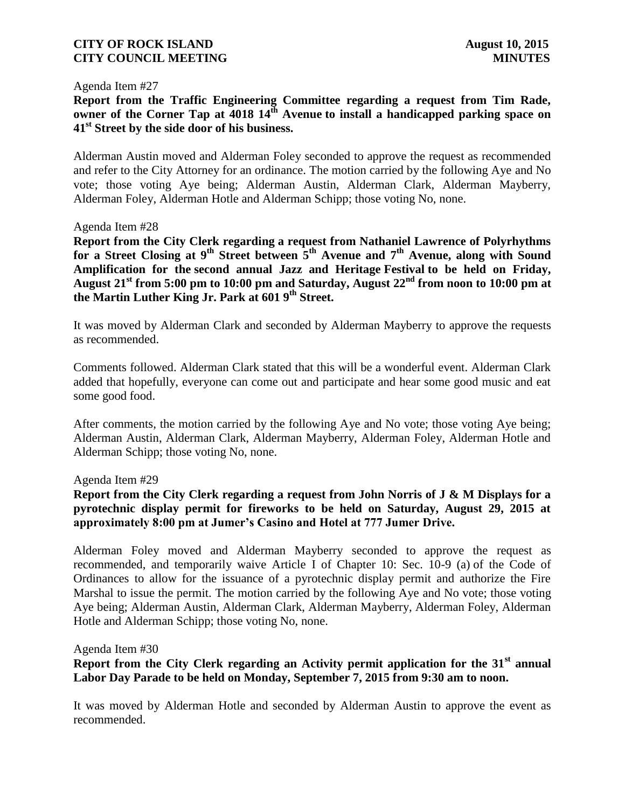### Agenda Item #27

**Report from the Traffic Engineering Committee regarding a request from Tim Rade, owner of the Corner Tap at 4018 14th Avenue to install a handicapped parking space on 41st Street by the side door of his business.** 

Alderman Austin moved and Alderman Foley seconded to approve the request as recommended and refer to the City Attorney for an ordinance. The motion carried by the following Aye and No vote; those voting Aye being; Alderman Austin, Alderman Clark, Alderman Mayberry, Alderman Foley, Alderman Hotle and Alderman Schipp; those voting No, none.

### Agenda Item #28

**Report from the City Clerk regarding a request from Nathaniel Lawrence of Polyrhythms for a Street Closing at 9th Street between 5th Avenue and 7th Avenue, along with Sound Amplification for the second annual Jazz and Heritage Festival to be held on Friday, August 21st from 5:00 pm to 10:00 pm and Saturday, August 22nd from noon to 10:00 pm at the Martin Luther King Jr. Park at 601 9th Street.**

It was moved by Alderman Clark and seconded by Alderman Mayberry to approve the requests as recommended.

Comments followed. Alderman Clark stated that this will be a wonderful event. Alderman Clark added that hopefully, everyone can come out and participate and hear some good music and eat some good food.

After comments, the motion carried by the following Aye and No vote; those voting Aye being; Alderman Austin, Alderman Clark, Alderman Mayberry, Alderman Foley, Alderman Hotle and Alderman Schipp; those voting No, none.

### Agenda Item #29

## **Report from the City Clerk regarding a request from John Norris of J & M Displays for a pyrotechnic display permit for fireworks to be held on Saturday, August 29, 2015 at approximately 8:00 pm at Jumer's Casino and Hotel at 777 Jumer Drive.**

Alderman Foley moved and Alderman Mayberry seconded to approve the request as recommended, and temporarily waive Article I of Chapter 10: Sec. 10-9 (a) of the Code of Ordinances to allow for the issuance of a pyrotechnic display permit and authorize the Fire Marshal to issue the permit. The motion carried by the following Aye and No vote; those voting Aye being; Alderman Austin, Alderman Clark, Alderman Mayberry, Alderman Foley, Alderman Hotle and Alderman Schipp; those voting No, none.

Agenda Item #30

**Report from the City Clerk regarding an Activity permit application for the 31st annual Labor Day Parade to be held on Monday, September 7, 2015 from 9:30 am to noon.** 

It was moved by Alderman Hotle and seconded by Alderman Austin to approve the event as recommended.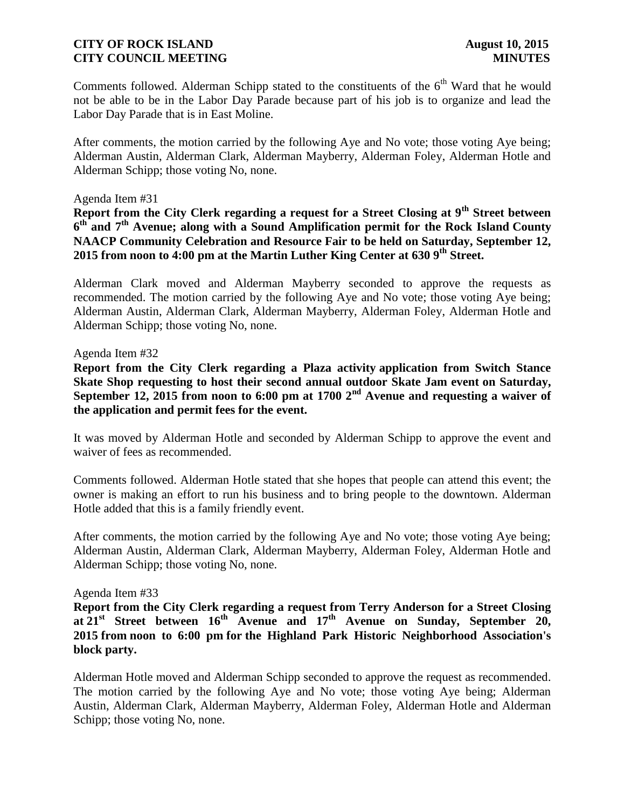Comments followed. Alderman Schipp stated to the constituents of the  $6<sup>th</sup>$  Ward that he would not be able to be in the Labor Day Parade because part of his job is to organize and lead the Labor Day Parade that is in East Moline.

After comments, the motion carried by the following Aye and No vote; those voting Aye being; Alderman Austin, Alderman Clark, Alderman Mayberry, Alderman Foley, Alderman Hotle and Alderman Schipp; those voting No, none.

### Agenda Item #31

**Report from the City Clerk regarding a request for a Street Closing at 9th Street between 6 th and 7th Avenue; along with a Sound Amplification permit for the Rock Island County NAACP Community Celebration and Resource Fair to be held on Saturday, September 12, 2015 from noon to 4:00 pm at the Martin Luther King Center at 630 9th Street.**

Alderman Clark moved and Alderman Mayberry seconded to approve the requests as recommended. The motion carried by the following Aye and No vote; those voting Aye being; Alderman Austin, Alderman Clark, Alderman Mayberry, Alderman Foley, Alderman Hotle and Alderman Schipp; those voting No, none.

### Agenda Item #32

**Report from the City Clerk regarding a Plaza activity application from Switch Stance Skate Shop requesting to host their second annual outdoor Skate Jam event on Saturday, September 12, 2015 from noon to 6:00 pm at 1700 2nd Avenue and requesting a waiver of the application and permit fees for the event.**

It was moved by Alderman Hotle and seconded by Alderman Schipp to approve the event and waiver of fees as recommended.

Comments followed. Alderman Hotle stated that she hopes that people can attend this event; the owner is making an effort to run his business and to bring people to the downtown. Alderman Hotle added that this is a family friendly event.

After comments, the motion carried by the following Aye and No vote; those voting Aye being; Alderman Austin, Alderman Clark, Alderman Mayberry, Alderman Foley, Alderman Hotle and Alderman Schipp; those voting No, none.

### Agenda Item #33

**Report from the City Clerk regarding a request from Terry Anderson for a Street Closing at 21st Street between 16th Avenue and 17th Avenue on Sunday, September 20, 2015 from noon to 6:00 pm for the Highland Park Historic Neighborhood Association's block party.**

Alderman Hotle moved and Alderman Schipp seconded to approve the request as recommended. The motion carried by the following Aye and No vote; those voting Aye being; Alderman Austin, Alderman Clark, Alderman Mayberry, Alderman Foley, Alderman Hotle and Alderman Schipp; those voting No, none.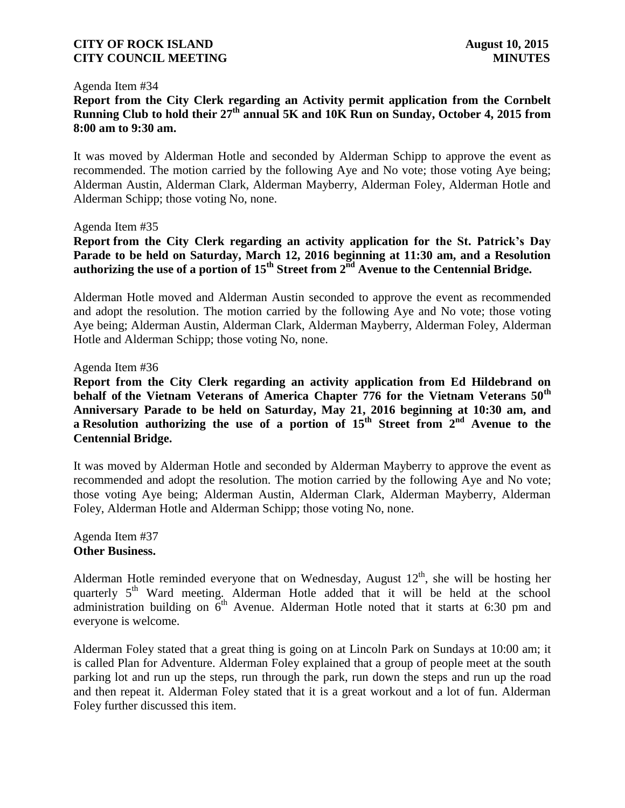### Agenda Item #34

**Report from the City Clerk regarding an Activity permit application from the Cornbelt Running Club to hold their 27th annual 5K and 10K Run on Sunday, October 4, 2015 from 8:00 am to 9:30 am.**

It was moved by Alderman Hotle and seconded by Alderman Schipp to approve the event as recommended. The motion carried by the following Aye and No vote; those voting Aye being; Alderman Austin, Alderman Clark, Alderman Mayberry, Alderman Foley, Alderman Hotle and Alderman Schipp; those voting No, none.

### Agenda Item #35

**Report from the City Clerk regarding an activity application for the St. Patrick's Day Parade to be held on Saturday, March 12, 2016 beginning at 11:30 am, and a Resolution authorizing the use of a portion of 15th Street from 2nd Avenue to the Centennial Bridge.**

Alderman Hotle moved and Alderman Austin seconded to approve the event as recommended and adopt the resolution. The motion carried by the following Aye and No vote; those voting Aye being; Alderman Austin, Alderman Clark, Alderman Mayberry, Alderman Foley, Alderman Hotle and Alderman Schipp; those voting No, none.

#### Agenda Item #36

**Report from the City Clerk regarding an activity application from Ed Hildebrand on behalf of the Vietnam Veterans of America Chapter 776 for the Vietnam Veterans 50th Anniversary Parade to be held on Saturday, May 21, 2016 beginning at 10:30 am, and a Resolution authorizing the use of a portion of 15th Street from 2nd Avenue to the Centennial Bridge.**

It was moved by Alderman Hotle and seconded by Alderman Mayberry to approve the event as recommended and adopt the resolution. The motion carried by the following Aye and No vote; those voting Aye being; Alderman Austin, Alderman Clark, Alderman Mayberry, Alderman Foley, Alderman Hotle and Alderman Schipp; those voting No, none.

Agenda Item #37 **Other Business.**

Alderman Hotle reminded everyone that on Wednesday, August  $12<sup>th</sup>$ , she will be hosting her quarterly 5<sup>th</sup> Ward meeting. Alderman Hotle added that it will be held at the school administration building on  $6<sup>th</sup>$  Avenue. Alderman Hotle noted that it starts at 6:30 pm and everyone is welcome.

Alderman Foley stated that a great thing is going on at Lincoln Park on Sundays at 10:00 am; it is called Plan for Adventure. Alderman Foley explained that a group of people meet at the south parking lot and run up the steps, run through the park, run down the steps and run up the road and then repeat it. Alderman Foley stated that it is a great workout and a lot of fun. Alderman Foley further discussed this item.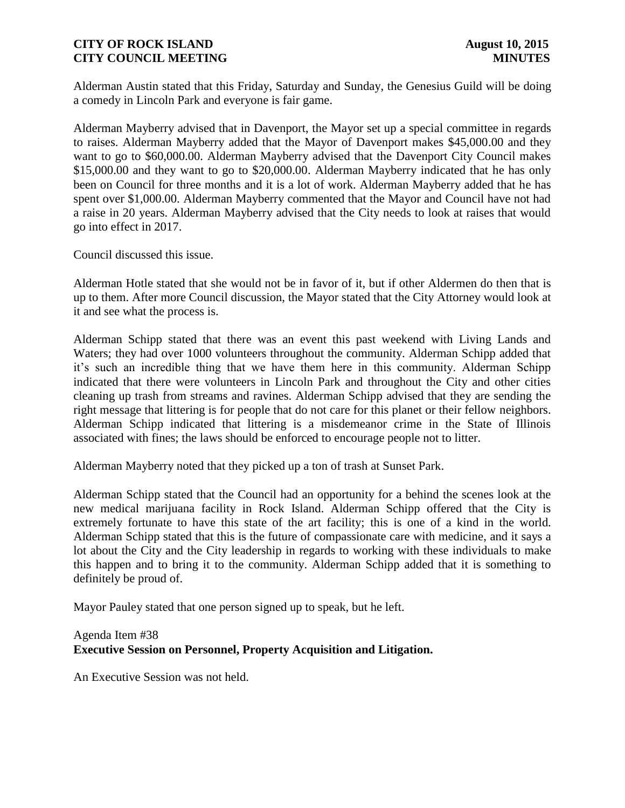Alderman Austin stated that this Friday, Saturday and Sunday, the Genesius Guild will be doing a comedy in Lincoln Park and everyone is fair game.

Alderman Mayberry advised that in Davenport, the Mayor set up a special committee in regards to raises. Alderman Mayberry added that the Mayor of Davenport makes \$45,000.00 and they want to go to \$60,000.00. Alderman Mayberry advised that the Davenport City Council makes \$15,000.00 and they want to go to \$20,000.00. Alderman Mayberry indicated that he has only been on Council for three months and it is a lot of work. Alderman Mayberry added that he has spent over \$1,000.00. Alderman Mayberry commented that the Mayor and Council have not had a raise in 20 years. Alderman Mayberry advised that the City needs to look at raises that would go into effect in 2017.

Council discussed this issue.

Alderman Hotle stated that she would not be in favor of it, but if other Aldermen do then that is up to them. After more Council discussion, the Mayor stated that the City Attorney would look at it and see what the process is.

Alderman Schipp stated that there was an event this past weekend with Living Lands and Waters; they had over 1000 volunteers throughout the community. Alderman Schipp added that it's such an incredible thing that we have them here in this community. Alderman Schipp indicated that there were volunteers in Lincoln Park and throughout the City and other cities cleaning up trash from streams and ravines. Alderman Schipp advised that they are sending the right message that littering is for people that do not care for this planet or their fellow neighbors. Alderman Schipp indicated that littering is a misdemeanor crime in the State of Illinois associated with fines; the laws should be enforced to encourage people not to litter.

Alderman Mayberry noted that they picked up a ton of trash at Sunset Park.

Alderman Schipp stated that the Council had an opportunity for a behind the scenes look at the new medical marijuana facility in Rock Island. Alderman Schipp offered that the City is extremely fortunate to have this state of the art facility; this is one of a kind in the world. Alderman Schipp stated that this is the future of compassionate care with medicine, and it says a lot about the City and the City leadership in regards to working with these individuals to make this happen and to bring it to the community. Alderman Schipp added that it is something to definitely be proud of.

Mayor Pauley stated that one person signed up to speak, but he left.

# Agenda Item #38 **Executive Session on Personnel, Property Acquisition and Litigation.**

An Executive Session was not held.